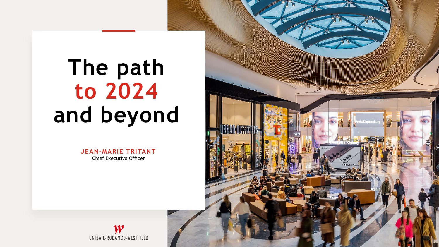# **The path to 2024 and beyond**

**JEAN-MARIE TRITANT** Chief Executive Officer



 $\boldsymbol{W}$ UNIBAIL-RODAMCO-WESTFIELD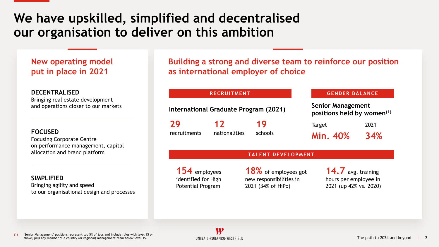### **We have upskilled, simplified and decentralised our organisation to deliver on this ambition**

### **New operating model put in place in 2021**

### **DECENTRALISED**

Bringing real estate development and operations closer to our markets

### **FOCUSED**

Focusing Corporate Centre on performance management, capital allocation and brand platform

### **SIMPLIFIED**

Bringing agility and speed to our organisational design and processes **Building a strong and diverse team to reinforce our position as international employer of choice**

**International Graduate Program (2021)**

**29** recruitments

**12** nationalities

**19** schools

#### **RECRUITMENT GENDER BALANCE**

**Senior Management positions held by women(1)**

Target **Min. 40%** 2021 **34%**

#### **TALENT DEVELOPMENT**

**154** employees identified for High Potential Program

**18%** of employees got new responsibilities in 2021 (34% of HiPo)

**14.7** avg. training hours per employee in 2021 (up 42% vs. 2020)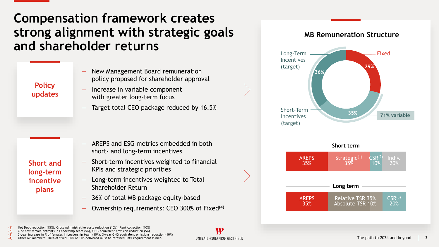### **Compensation framework creates strong alignment with strategic goals and shareholder returns**

### **Policy updates**

- New Management Board remuneration policy proposed for shareholder approval
- Increase in variable component with greater long-term focus
- Target total CEO package reduced by 16.5%

― AREPS and ESG metrics embedded in both short- and long-term incentives

**Short and long-term incentive plans**

- ― Short-term incentives weighted to financial KPIs and strategic priorities
- ― Long-term incentives weighted to Total Shareholder Return
- ― 36% of total MB package equity-based
- Ownership requirements: CEO 300% of Fixed<sup>(4)</sup>

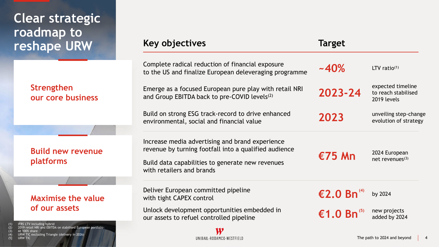# **Clear strategic roadmap to reshape URW**

### **Strengthen our core business**

### **Key objectives Target**

| Complete radical reduction of financial exposure<br>to the US and finalize European deleveraging programme                                                                                | ~140%                  | LTV ratio $(1)$                                         |
|-------------------------------------------------------------------------------------------------------------------------------------------------------------------------------------------|------------------------|---------------------------------------------------------|
| Emerge as a focused European pure play with retail NRI<br>and Group EBITDA back to pre-COVID levels <sup>(2)</sup>                                                                        | 2023-24                | expected timeline<br>to reach stabilised<br>2019 levels |
| Build on strong ESG track-record to drive enhanced<br>environmental, social and financial value                                                                                           | 2023                   | unveiling step-change<br>evolution of strategy          |
| Increase media advertising and brand experience<br>revenue by turning footfall into a qualified audience<br>Build data capabilities to generate new revenues<br>with retailers and brands | $E75$ Mn               | 2024 European<br>net revenues $(3)$                     |
| Deliver European committed pipeline<br>with tight CAPEX control                                                                                                                           | €2.0 Bn <sup>(4)</sup> | by 2024                                                 |
| Unlock development opportunities embedded in<br>our assets to refuel controlled pipeline                                                                                                  | €1.0 Bn <sup>(5)</sup> | new projects<br>added by 2024                           |
|                                                                                                                                                                                           |                        |                                                         |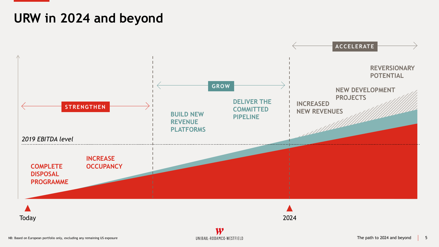# **URW in 2024 and beyond**